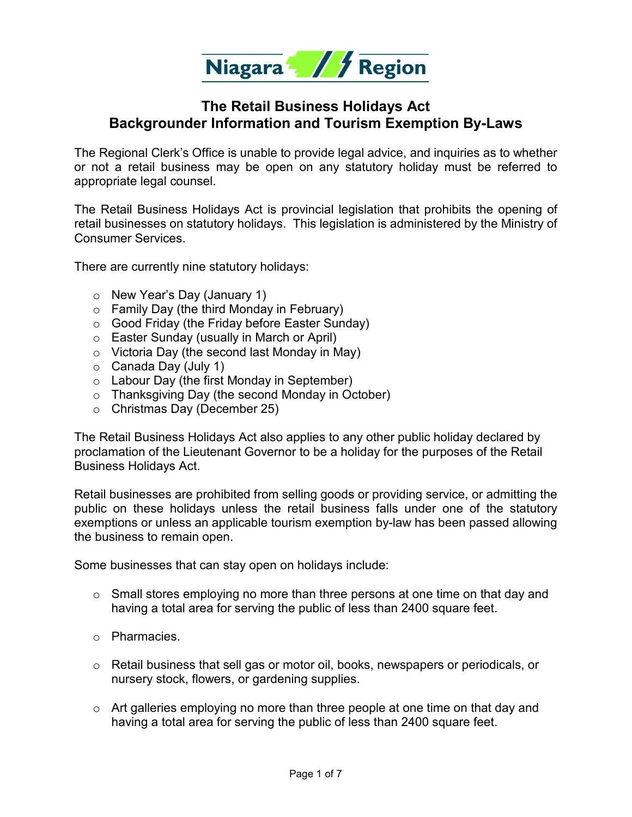

## **The Retail Business Holidays Act Backgrounder Information and Tourism Exemption By-Laws**

The Regional Clerk's Office is unable to provide legal advice, and inquiries as to whether or not a retail business may be open on any statutory holiday must be referred to appropriate legal counsel.

The Retail Business Holidays Act is provincial legislation that prohibits the opening of retail businesses on statutory holidays. This legislation is administered by the Ministry of Consumer Services.

There are currently nine statutory holidays:

- o New Year's Day (January 1)
- $\circ$  Family Day (the third Monday in February)
- o Good Friday (the Friday before Easter Sunday)
- o Easter Sunday (usually in March or April)
- o Victoria Day (the second last Monday in May)
- o Canada Day (July 1)
- o Labour Day (the first Monday in September)
- o Thanksgiving Day (the second Monday in October)
- o Christmas Day (December 25)

The Retail Business Holidays Act also applies to any other public holiday declared by proclamation of the Lieutenant Governor to be a holiday for the purposes of the Retail Business Holidays Act.

Retail businesses are prohibited from selling goods or providing service, or admitting the public on these holidays unless the retail business falls under one of the statutory exemptions or unless an applicable tourism exemption by-law has been passed allowing the business to remain open.

Some businesses that can stay open on holidays include:

- $\circ$  Small stores employing no more than three persons at one time on that day and having a total area for serving the public of less than 2400 square feet.
- o Pharmacies.
- $\circ$  Retail business that sell gas or motor oil, books, newspapers or periodicals, or nursery stock, flowers, or gardening supplies.
- $\circ$  Art galleries employing no more than three people at one time on that day and having a total area for serving the public of less than 2400 square feet.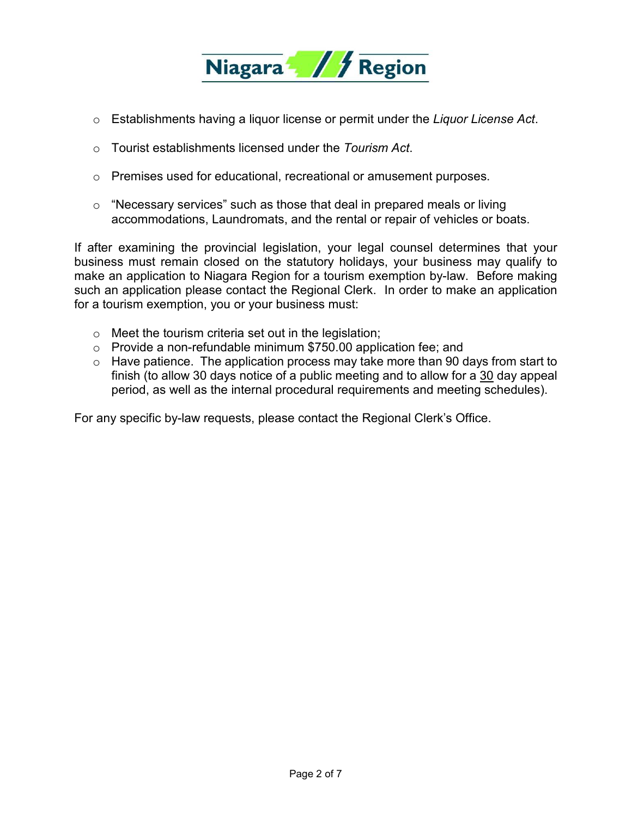

- o Establishments having a liquor license or permit under the *Liquor License Act*.
- o Tourist establishments licensed under the *Tourism Act*.
- $\circ$  Premises used for educational, recreational or amusement purposes.
- o "Necessary services" such as those that deal in prepared meals or living accommodations, Laundromats, and the rental or repair of vehicles or boats.

If after examining the provincial legislation, your legal counsel determines that your business must remain closed on the statutory holidays, your business may qualify to make an application to Niagara Region for a tourism exemption by-law. Before making such an application please contact the Regional Clerk. In order to make an application for a tourism exemption, you or your business must:

- o Meet the tourism criteria set out in the legislation;
- o Provide a non-refundable minimum \$750.00 application fee; and
- $\circ$  Have patience. The application process may take more than 90 days from start to finish (to allow 30 days notice of a public meeting and to allow for a 30 day appeal period, as well as the internal procedural requirements and meeting schedules).

For any specific by-law requests, please contact the Regional Clerk's Office.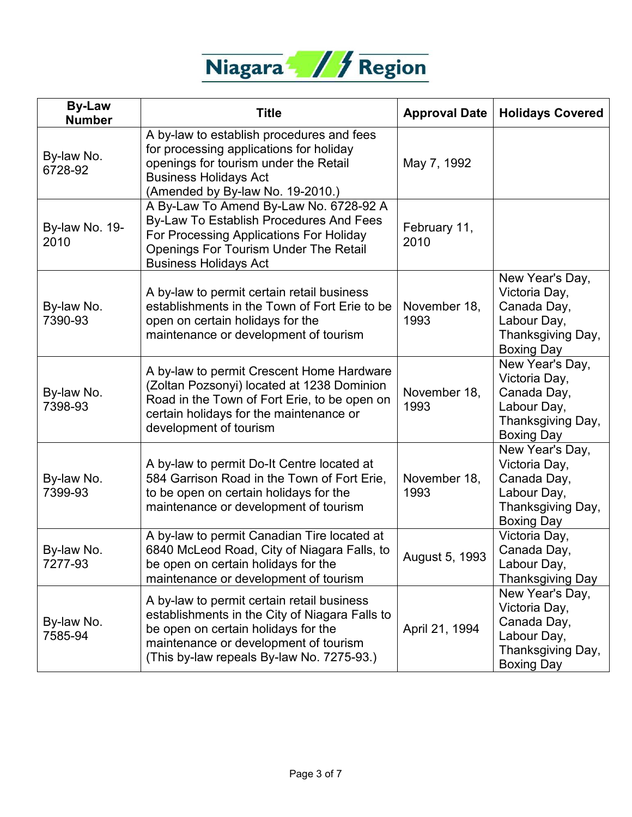

| <b>By-Law</b><br><b>Number</b> | <b>Title</b>                                                                                                                                                                                                              | <b>Approval Date</b> | <b>Holidays Covered</b>                                                                                  |
|--------------------------------|---------------------------------------------------------------------------------------------------------------------------------------------------------------------------------------------------------------------------|----------------------|----------------------------------------------------------------------------------------------------------|
| By-law No.<br>6728-92          | A by-law to establish procedures and fees<br>for processing applications for holiday<br>openings for tourism under the Retail<br><b>Business Holidays Act</b><br>(Amended by By-law No. 19-2010.)                         | May 7, 1992          |                                                                                                          |
| By-law No. 19-<br>2010         | A By-Law To Amend By-Law No. 6728-92 A<br>By-Law To Establish Procedures And Fees<br>For Processing Applications For Holiday<br><b>Openings For Tourism Under The Retail</b><br><b>Business Holidays Act</b>              | February 11,<br>2010 |                                                                                                          |
| By-law No.<br>7390-93          | A by-law to permit certain retail business<br>establishments in the Town of Fort Erie to be<br>open on certain holidays for the<br>maintenance or development of tourism                                                  | November 18,<br>1993 | New Year's Day,<br>Victoria Day,<br>Canada Day,<br>Labour Day,<br>Thanksgiving Day,<br><b>Boxing Day</b> |
| By-law No.<br>7398-93          | A by-law to permit Crescent Home Hardware<br>(Zoltan Pozsonyi) located at 1238 Dominion<br>Road in the Town of Fort Erie, to be open on<br>certain holidays for the maintenance or<br>development of tourism              | November 18,<br>1993 | New Year's Day,<br>Victoria Day,<br>Canada Day,<br>Labour Day,<br>Thanksgiving Day,<br><b>Boxing Day</b> |
| By-law No.<br>7399-93          | A by-law to permit Do-It Centre located at<br>584 Garrison Road in the Town of Fort Erie,<br>to be open on certain holidays for the<br>maintenance or development of tourism                                              | November 18,<br>1993 | New Year's Day,<br>Victoria Day,<br>Canada Day,<br>Labour Day,<br>Thanksgiving Day,<br><b>Boxing Day</b> |
| By-law No.<br>7277-93          | A by-law to permit Canadian Tire located at<br>6840 McLeod Road, City of Niagara Falls, to<br>be open on certain holidays for the<br>maintenance or development of tourism                                                | August 5, 1993       | Victoria Day,<br>Canada Day,<br>Labour Day,<br><b>Thanksgiving Day</b>                                   |
| By-law No.<br>7585-94          | A by-law to permit certain retail business<br>establishments in the City of Niagara Falls to<br>be open on certain holidays for the<br>maintenance or development of tourism<br>(This by-law repeals By-law No. 7275-93.) | April 21, 1994       | New Year's Day,<br>Victoria Day,<br>Canada Day,<br>Labour Day,<br>Thanksgiving Day,<br><b>Boxing Day</b> |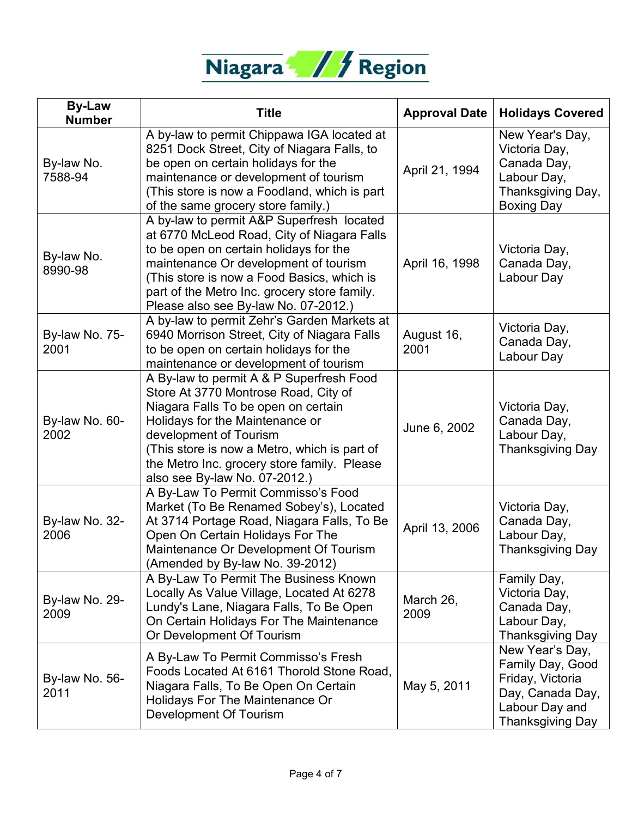

| <b>By-Law</b><br><b>Number</b> | <b>Title</b>                                                                                                                                                                                                                                                                                                         | <b>Approval Date</b> | <b>Holidays Covered</b>                                                                                                  |
|--------------------------------|----------------------------------------------------------------------------------------------------------------------------------------------------------------------------------------------------------------------------------------------------------------------------------------------------------------------|----------------------|--------------------------------------------------------------------------------------------------------------------------|
| By-law No.<br>7588-94          | A by-law to permit Chippawa IGA located at<br>8251 Dock Street, City of Niagara Falls, to<br>be open on certain holidays for the<br>maintenance or development of tourism<br>(This store is now a Foodland, which is part<br>of the same grocery store family.)                                                      | April 21, 1994       | New Year's Day,<br>Victoria Day,<br>Canada Day,<br>Labour Day,<br>Thanksgiving Day,<br><b>Boxing Day</b>                 |
| By-law No.<br>8990-98          | A by-law to permit A&P Superfresh located<br>at 6770 McLeod Road, City of Niagara Falls<br>to be open on certain holidays for the<br>maintenance Or development of tourism<br>(This store is now a Food Basics, which is<br>part of the Metro Inc. grocery store family.<br>Please also see By-law No. 07-2012.)     | April 16, 1998       | Victoria Day,<br>Canada Day,<br>Labour Day                                                                               |
| By-law No. 75-<br>2001         | A by-law to permit Zehr's Garden Markets at<br>6940 Morrison Street, City of Niagara Falls<br>to be open on certain holidays for the<br>maintenance or development of tourism                                                                                                                                        | August 16,<br>2001   | Victoria Day,<br>Canada Day,<br>Labour Day                                                                               |
| By-law No. 60-<br>2002         | A By-law to permit A & P Superfresh Food<br>Store At 3770 Montrose Road, City of<br>Niagara Falls To be open on certain<br>Holidays for the Maintenance or<br>development of Tourism<br>(This store is now a Metro, which is part of<br>the Metro Inc. grocery store family. Please<br>also see By-law No. 07-2012.) | June 6, 2002         | Victoria Day,<br>Canada Day,<br>Labour Day,<br><b>Thanksgiving Day</b>                                                   |
| By-law No. 32-<br>2006         | A By-Law To Permit Commisso's Food<br>Market (To Be Renamed Sobey's), Located<br>At 3714 Portage Road, Niagara Falls, To Be<br>Open On Certain Holidays For The<br>Maintenance Or Development Of Tourism<br>(Amended by By-law No. 39-2012)                                                                          | April 13, 2006       | Victoria Day,<br>Canada Day,<br>Labour Day,<br><b>Thanksgiving Day</b>                                                   |
| By-law No. 29-<br>2009         | A By-Law To Permit The Business Known<br>Locally As Value Village, Located At 6278<br>Lundy's Lane, Niagara Falls, To Be Open<br>On Certain Holidays For The Maintenance<br>Or Development Of Tourism                                                                                                                | March 26,<br>2009    | Family Day,<br>Victoria Day,<br>Canada Day,<br>Labour Day,<br><b>Thanksgiving Day</b>                                    |
| By-law No. 56-<br>2011         | A By-Law To Permit Commisso's Fresh<br>Foods Located At 6161 Thorold Stone Road,<br>Niagara Falls, To Be Open On Certain<br>Holidays For The Maintenance Or<br>Development Of Tourism                                                                                                                                | May 5, 2011          | New Year's Day,<br>Family Day, Good<br>Friday, Victoria<br>Day, Canada Day,<br>Labour Day and<br><b>Thanksgiving Day</b> |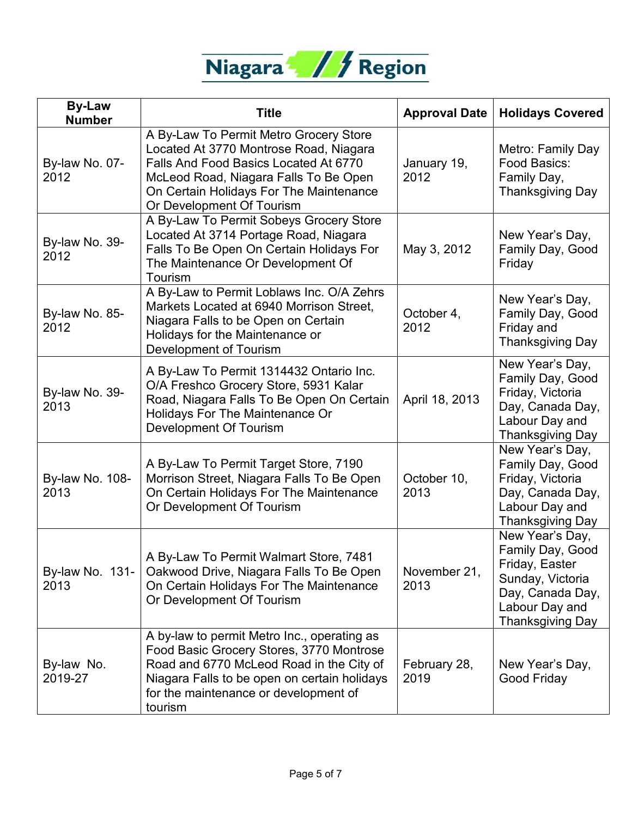

| <b>By-Law</b><br><b>Number</b> | <b>Title</b>                                                                                                                                                                                                                               | <b>Approval Date</b> | <b>Holidays Covered</b>                                                                                                                    |
|--------------------------------|--------------------------------------------------------------------------------------------------------------------------------------------------------------------------------------------------------------------------------------------|----------------------|--------------------------------------------------------------------------------------------------------------------------------------------|
| By-law No. 07-<br>2012         | A By-Law To Permit Metro Grocery Store<br>Located At 3770 Montrose Road, Niagara<br>Falls And Food Basics Located At 6770<br>McLeod Road, Niagara Falls To Be Open<br>On Certain Holidays For The Maintenance<br>Or Development Of Tourism | January 19,<br>2012  | Metro: Family Day<br>Food Basics:<br>Family Day,<br><b>Thanksgiving Day</b>                                                                |
| By-law No. 39-<br>2012         | A By-Law To Permit Sobeys Grocery Store<br>Located At 3714 Portage Road, Niagara<br>Falls To Be Open On Certain Holidays For<br>The Maintenance Or Development Of<br>Tourism                                                               | May 3, 2012          | New Year's Day,<br>Family Day, Good<br>Friday                                                                                              |
| By-law No. 85-<br>2012         | A By-Law to Permit Loblaws Inc. O/A Zehrs<br>Markets Located at 6940 Morrison Street,<br>Niagara Falls to be Open on Certain<br>Holidays for the Maintenance or<br>Development of Tourism                                                  | October 4,<br>2012   | New Year's Day,<br>Family Day, Good<br>Friday and<br><b>Thanksgiving Day</b>                                                               |
| By-law No. 39-<br>2013         | A By-Law To Permit 1314432 Ontario Inc.<br>O/A Freshco Grocery Store, 5931 Kalar<br>Road, Niagara Falls To Be Open On Certain<br>Holidays For The Maintenance Or<br><b>Development Of Tourism</b>                                          | April 18, 2013       | New Year's Day,<br>Family Day, Good<br>Friday, Victoria<br>Day, Canada Day,<br>Labour Day and<br><b>Thanksgiving Day</b>                   |
| By-law No. 108-<br>2013        | A By-Law To Permit Target Store, 7190<br>Morrison Street, Niagara Falls To Be Open<br>On Certain Holidays For The Maintenance<br>Or Development Of Tourism                                                                                 | October 10,<br>2013  | New Year's Day,<br>Family Day, Good<br>Friday, Victoria<br>Day, Canada Day,<br>Labour Day and<br><b>Thanksgiving Day</b>                   |
| By-law No. 131-<br>2013        | A By-Law To Permit Walmart Store, 7481<br>Oakwood Drive, Niagara Falls To Be Open<br>On Certain Holidays For The Maintenance<br>Or Development Of Tourism                                                                                  | November 21,<br>2013 | New Year's Day,<br>Family Day, Good<br>Friday, Easter<br>Sunday, Victoria<br>Day, Canada Day,<br>Labour Day and<br><b>Thanksgiving Day</b> |
| By-law No.<br>2019-27          | A by-law to permit Metro Inc., operating as<br>Food Basic Grocery Stores, 3770 Montrose<br>Road and 6770 McLeod Road in the City of<br>Niagara Falls to be open on certain holidays<br>for the maintenance or development of<br>tourism    | February 28,<br>2019 | New Year's Day,<br>Good Friday                                                                                                             |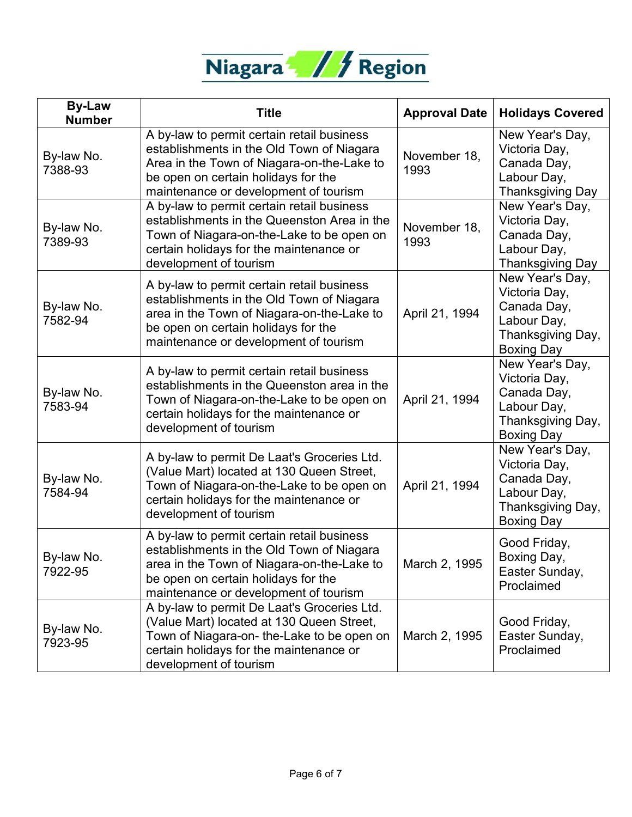

| <b>By-Law</b><br><b>Number</b> | <b>Title</b>                                                                                                                                                                                                          | <b>Approval Date</b> | <b>Holidays Covered</b>                                                                                  |
|--------------------------------|-----------------------------------------------------------------------------------------------------------------------------------------------------------------------------------------------------------------------|----------------------|----------------------------------------------------------------------------------------------------------|
| By-law No.<br>7388-93          | A by-law to permit certain retail business<br>establishments in the Old Town of Niagara<br>Area in the Town of Niagara-on-the-Lake to<br>be open on certain holidays for the<br>maintenance or development of tourism | November 18,<br>1993 | New Year's Day,<br>Victoria Day,<br>Canada Day,<br>Labour Day,<br>Thanksgiving Day                       |
| By-law No.<br>7389-93          | A by-law to permit certain retail business<br>establishments in the Queenston Area in the<br>Town of Niagara-on-the-Lake to be open on<br>certain holidays for the maintenance or<br>development of tourism           | November 18,<br>1993 | New Year's Day,<br>Victoria Day,<br>Canada Day,<br>Labour Day,<br>Thanksgiving Day                       |
| By-law No.<br>7582-94          | A by-law to permit certain retail business<br>establishments in the Old Town of Niagara<br>area in the Town of Niagara-on-the-Lake to<br>be open on certain holidays for the<br>maintenance or development of tourism | April 21, 1994       | New Year's Day,<br>Victoria Day,<br>Canada Day,<br>Labour Day,<br>Thanksgiving Day,<br><b>Boxing Day</b> |
| By-law No.<br>7583-94          | A by-law to permit certain retail business<br>establishments in the Queenston area in the<br>Town of Niagara-on-the-Lake to be open on<br>certain holidays for the maintenance or<br>development of tourism           | April 21, 1994       | New Year's Day,<br>Victoria Day,<br>Canada Day,<br>Labour Day,<br>Thanksgiving Day,<br><b>Boxing Day</b> |
| By-law No.<br>7584-94          | A by-law to permit De Laat's Groceries Ltd.<br>(Value Mart) located at 130 Queen Street,<br>Town of Niagara-on-the-Lake to be open on<br>certain holidays for the maintenance or<br>development of tourism            | April 21, 1994       | New Year's Day,<br>Victoria Day,<br>Canada Day,<br>Labour Day,<br>Thanksgiving Day,<br><b>Boxing Day</b> |
| By-law No.<br>7922-95          | A by-law to permit certain retail business<br>establishments in the Old Town of Niagara<br>area in the Town of Niagara-on-the-Lake to<br>be open on certain holidays for the<br>maintenance or development of tourism | March 2, 1995        | Good Friday,<br>Boxing Day,<br>Easter Sunday,<br>Proclaimed                                              |
| By-law No.<br>7923-95          | A by-law to permit De Laat's Groceries Ltd.<br>(Value Mart) located at 130 Queen Street,<br>Town of Niagara-on- the-Lake to be open on<br>certain holidays for the maintenance or<br>development of tourism           | March 2, 1995        | Good Friday,<br>Easter Sunday,<br>Proclaimed                                                             |